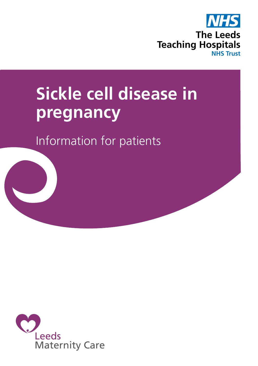

# **Sickle cell disease in pregnancy**

Information for patients

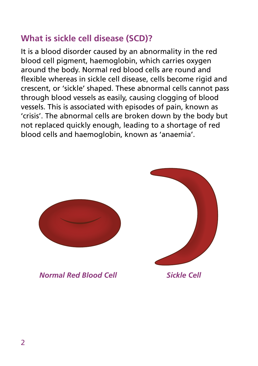# **What is sickle cell disease (SCD)?**

It is a blood disorder caused by an abnormality in the red blood cell pigment, haemoglobin, which carries oxygen around the body. Normal red blood cells are round and flexible whereas in sickle cell disease, cells become rigid and crescent, or 'sickle' shaped. These abnormal cells cannot pass through blood vessels as easily, causing clogging of blood vessels. This is associated with episodes of pain, known as 'crisis'. The abnormal cells are broken down by the body but not replaced quickly enough, leading to a shortage of red blood cells and haemoglobin, known as 'anaemia'.



*Normal Red Blood Cell Sickle Cell*

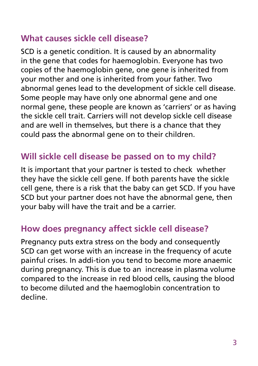## **What causes sickle cell disease?**

SCD is a genetic condition. It is caused by an abnormality in the gene that codes for haemoglobin. Everyone has two copies of the haemoglobin gene, one gene is inherited from your mother and one is inherited from your father. Two abnormal genes lead to the development of sickle cell disease. Some people may have only one abnormal gene and one normal gene, these people are known as 'carriers' or as having the sickle cell trait. Carriers will not develop sickle cell disease and are well in themselves, but there is a chance that they could pass the abnormal gene on to their children.

# **Will sickle cell disease be passed on to my child?**

It is important that your partner is tested to check whether they have the sickle cell gene. If both parents have the sickle cell gene, there is a risk that the baby can get SCD. If you have SCD but your partner does not have the abnormal gene, then your baby will have the trait and be a carrier.

## **How does pregnancy affect sickle cell disease?**

Pregnancy puts extra stress on the body and consequently SCD can get worse with an increase in the frequency of acute painful crises. In addi-tion you tend to become more anaemic during pregnancy. This is due to an increase in plasma volume compared to the increase in red blood cells, causing the blood to become diluted and the haemoglobin concentration to decline.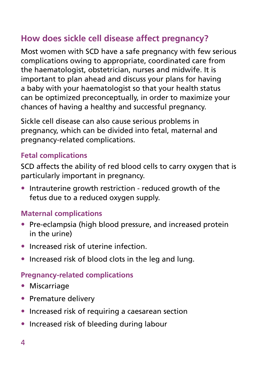# **How does sickle cell disease affect pregnancy?**

Most women with SCD have a safe pregnancy with few serious complications owing to appropriate, coordinated care from the haematologist, obstetrician, nurses and midwife. It is important to plan ahead and discuss your plans for having a baby with your haematologist so that your health status can be optimized preconceptually, in order to maximize your chances of having a healthy and successful pregnancy.

Sickle cell disease can also cause serious problems in pregnancy, which can be divided into fetal, maternal and pregnancy-related complications.

#### **Fetal complications**

SCD affects the ability of red blood cells to carry oxygen that is particularly important in pregnancy.

• Intrauterine growth restriction - reduced growth of the fetus due to a reduced oxygen supply.

## **Maternal complications**

- Pre-eclampsia (high blood pressure, and increased protein in the urine)
- Increased risk of uterine infection.
- Increased risk of blood clots in the leg and lung.

#### **Pregnancy-related complications**

- Miscarriage
- Premature delivery
- Increased risk of requiring a caesarean section
- Increased risk of bleeding during labour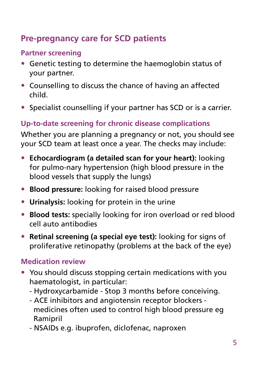# **Pre-pregnancy care for SCD patients**

## **Partner screening**

- Genetic testing to determine the haemoglobin status of your partner.
- Counselling to discuss the chance of having an affected child.
- Specialist counselling if your partner has SCD or is a carrier.

# **Up-to-date screening for chronic disease complications**

Whether you are planning a pregnancy or not, you should see your SCD team at least once a year. The checks may include:

- **Echocardiogram (a detailed scan for your heart):** looking for pulmo-nary hypertension (high blood pressure in the blood vessels that supply the lungs)
- **Blood pressure:** looking for raised blood pressure
- **Urinalysis:** looking for protein in the urine
- **Blood tests:** specially looking for iron overload or red blood cell auto antibodies
- **Retinal screening (a special eye test):** looking for signs of proliferative retinopathy (problems at the back of the eye)

## **Medication review**

- You should discuss stopping certain medications with you haematologist, in particular:
	- Hydroxycarbamide Stop 3 months before conceiving.
	- ACE inhibitors and angiotensin receptor blockers medicines often used to control high blood pressure eg Ramipril
	- NSAIDs e.g. ibuprofen, diclofenac, naproxen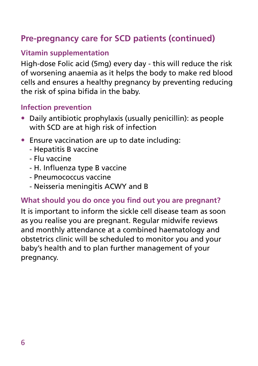# **Pre-pregnancy care for SCD patients (continued)**

## **Vitamin supplementation**

High-dose Folic acid (5mg) every day - this will reduce the risk of worsening anaemia as it helps the body to make red blood cells and ensures a healthy pregnancy by preventing reducing the risk of spina bifida in the baby.

#### **Infection prevention**

- Daily antibiotic prophylaxis (usually penicillin): as people with SCD are at high risk of infection
- Ensure vaccination are up to date including:
	- Hepatitis B vaccine
	- Flu vaccine
	- H. Influenza type B vaccine
	- Pneumococcus vaccine
	- Neisseria meningitis ACWY and B

#### **What should you do once you find out you are pregnant?**

It is important to inform the sickle cell disease team as soon as you realise you are pregnant. Regular midwife reviews and monthly attendance at a combined haematology and obstetrics clinic will be scheduled to monitor you and your baby's health and to plan further management of your pregnancy.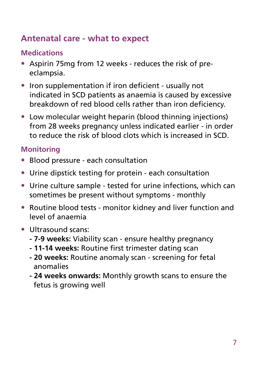# **Antenatal care - what to expect**

## **Medications**

- Aspirin 75mg from 12 weeks reduces the risk of preeclampsia.
- Iron supplementation if iron deficient usually not indicated in SCD patients as anaemia is caused by excessive breakdown of red blood cells rather than iron deficiency.
- Low molecular weight heparin (blood thinning injections) from 28 weeks pregnancy unless indicated earlier - in order to reduce the risk of blood clots which is increased in SCD.

## **Monitoring**

- Blood pressure each consultation
- Urine dipstick testing for protein each consultation
- Urine culture sample tested for urine infections, which can sometimes be present without symptoms - monthly
- Routine blood tests monitor kidney and liver function and level of anaemia
- Ultrasound scans:
	- **7-9 weeks:** Viability scan ensure healthy pregnancy
	- **11-14 weeks:** Routine first trimester dating scan
	- **20 weeks:** Routine anomaly scan screening for fetal anomalies
	- **24 weeks onwards:** Monthly growth scans to ensure the fetus is growing well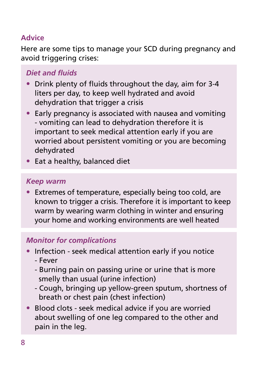#### **Advice**

Here are some tips to manage your SCD during pregnancy and avoid triggering crises:

## *Diet and fluids*

- Drink plenty of fluids throughout the day, aim for 3-4 liters per day, to keep well hydrated and avoid dehydration that trigger a crisis
- Early pregnancy is associated with nausea and vomiting - vomiting can lead to dehydration therefore it is important to seek medical attention early if you are worried about persistent vomiting or you are becoming dehydrated
- Eat a healthy, balanced diet

#### *Keep warm*

• Extremes of temperature, especially being too cold, are known to trigger a crisis. Therefore it is important to keep warm by wearing warm clothing in winter and ensuring your home and working environments are well heated

#### *Monitor for complications*

- Infection seek medical attention early if you notice
	- Fever
	- Burning pain on passing urine or urine that is more smelly than usual (urine infection)
	- Cough, bringing up yellow-green sputum, shortness of breath or chest pain (chest infection)
- Blood clots seek medical advice if you are worried about swelling of one leg compared to the other and pain in the leg.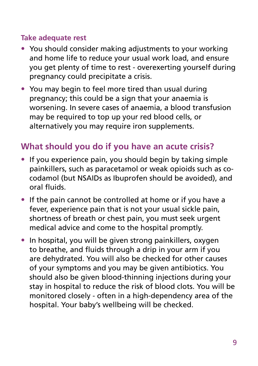#### **Take adequate rest**

- You should consider making adjustments to your working and home life to reduce your usual work load, and ensure you get plenty of time to rest - overexerting yourself during pregnancy could precipitate a crisis.
- You may begin to feel more tired than usual during pregnancy; this could be a sign that your anaemia is worsening. In severe cases of anaemia, a blood transfusion may be required to top up your red blood cells, or alternatively you may require iron supplements.

# **What should you do if you have an acute crisis?**

- If you experience pain, you should begin by taking simple painkillers, such as paracetamol or weak opioids such as cocodamol (but NSAIDs as Ibuprofen should be avoided), and oral fluids.
- If the pain cannot be controlled at home or if you have a fever, experience pain that is not your usual sickle pain, shortness of breath or chest pain, you must seek urgent medical advice and come to the hospital promptly.
- In hospital, you will be given strong painkillers, oxygen to breathe, and fluids through a drip in your arm if you are dehydrated. You will also be checked for other causes of your symptoms and you may be given antibiotics. You should also be given blood-thinning injections during your stay in hospital to reduce the risk of blood clots. You will be monitored closely - often in a high-dependency area of the hospital. Your baby's wellbeing will be checked.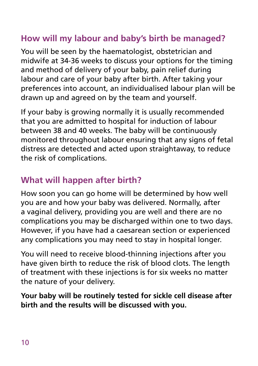# **How will my labour and baby's birth be managed?**

You will be seen by the haematologist, obstetrician and midwife at 34-36 weeks to discuss your options for the timing and method of delivery of your baby, pain relief during labour and care of your baby after birth. After taking your preferences into account, an individualised labour plan will be drawn up and agreed on by the team and yourself.

If your baby is growing normally it is usually recommended that you are admitted to hospital for induction of labour between 38 and 40 weeks. The baby will be continuously monitored throughout labour ensuring that any signs of fetal distress are detected and acted upon straightaway, to reduce the risk of complications.

# **What will happen after birth?**

How soon you can go home will be determined by how well you are and how your baby was delivered. Normally, after a vaginal delivery, providing you are well and there are no complications you may be discharged within one to two days. However, if you have had a caesarean section or experienced any complications you may need to stay in hospital longer.

You will need to receive blood-thinning injections after you have given birth to reduce the risk of blood clots. The length of treatment with these injections is for six weeks no matter the nature of your delivery.

**Your baby will be routinely tested for sickle cell disease after birth and the results will be discussed with you.**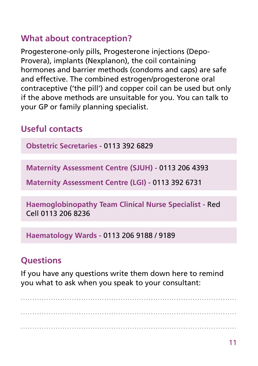## **What about contraception?**

Progesterone-only pills, Progesterone injections (Depo-Provera), implants (Nexplanon), the coil containing hormones and barrier methods (condoms and caps) are safe and effective. The combined estrogen/progesterone oral contraceptive ('the pill') and copper coil can be used but only if the above methods are unsuitable for you. You can talk to your GP or family planning specialist.

# **Useful contacts**

**Obstetric Secretaries -** 0113 392 6829

**Maternity Assessment Centre (SJUH) -** 0113 206 4393

**Maternity Assessment Centre (LGI) -** 0113 392 6731

**Haemoglobinopathy Team Clinical Nurse Specialist -** Red Cell 0113 206 8236

**Haematology Wards -** 0113 206 9188 / 9189

## **Questions**

If you have any questions write them down here to remind you what to ask when you speak to your consultant:

............................................................................................. ............................................................................................. .............................................................................................